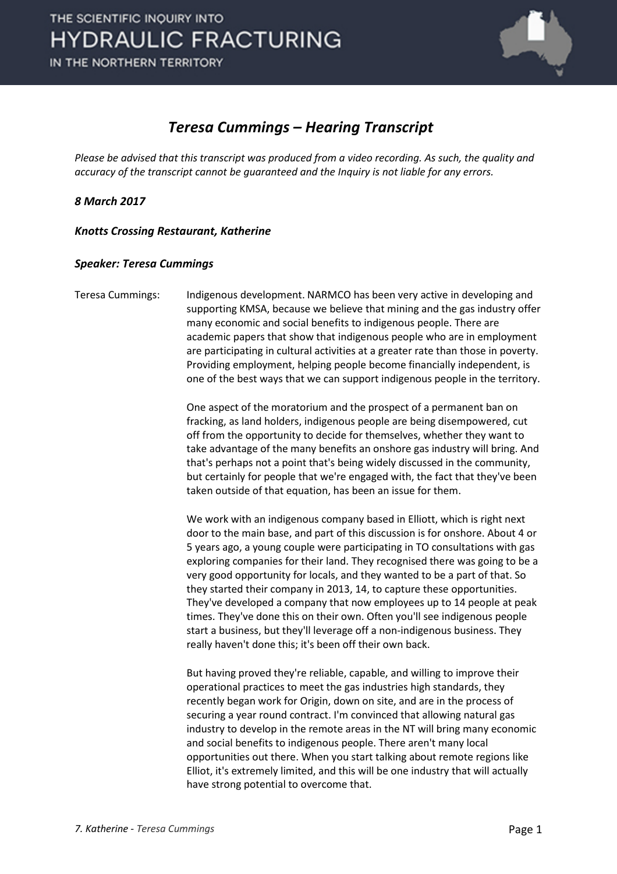

### *Teresa Cummings – Hearing Transcript*

*Please be advised that this transcript was produced from a video recording. As such, the quality and accuracy of the transcript cannot be guaranteed and the Inquiry is not liable for any errors.*

*8 March 2017* 

*Knotts Crossing Restaurant, Katherine* 

#### *Speaker: Teresa Cummings*

Teresa Cummings: Indigenous development. NARMCO has been very active in developing and supporting KMSA, because we believe that mining and the gas industry offer many economic and social benefits to indigenous people. There are academic papers that show that indigenous people who are in employment are participating in cultural activities at a greater rate than those in poverty. Providing employment, helping people become financially independent, is one of the best ways that we can support indigenous people in the territory.

> One aspect of the moratorium and the prospect of a permanent ban on fracking, as land holders, indigenous people are being disempowered, cut off from the opportunity to decide for themselves, whether they want to take advantage of the many benefits an onshore gas industry will bring. And that's perhaps not a point that's being widely discussed in the community, but certainly for people that we're engaged with, the fact that they've been taken outside of that equation, has been an issue for them.

> We work with an indigenous company based in Elliott, which is right next door to the main base, and part of this discussion is for onshore. About 4 or 5 years ago, a young couple were participating in TO consultations with gas exploring companies for their land. They recognised there was going to be a very good opportunity for locals, and they wanted to be a part of that. So they started their company in 2013, 14, to capture these opportunities. They've developed a company that now employees up to 14 people at peak times. They've done this on their own. Often you'll see indigenous people start a business, but they'll leverage off a non-indigenous business. They really haven't done this; it's been off their own back.

> But having proved they're reliable, capable, and willing to improve their operational practices to meet the gas industries high standards, they recently began work for Origin, down on site, and are in the process of securing a year round contract. I'm convinced that allowing natural gas industry to develop in the remote areas in the NT will bring many economic and social benefits to indigenous people. There aren't many local opportunities out there. When you start talking about remote regions like Elliot, it's extremely limited, and this will be one industry that will actually have strong potential to overcome that.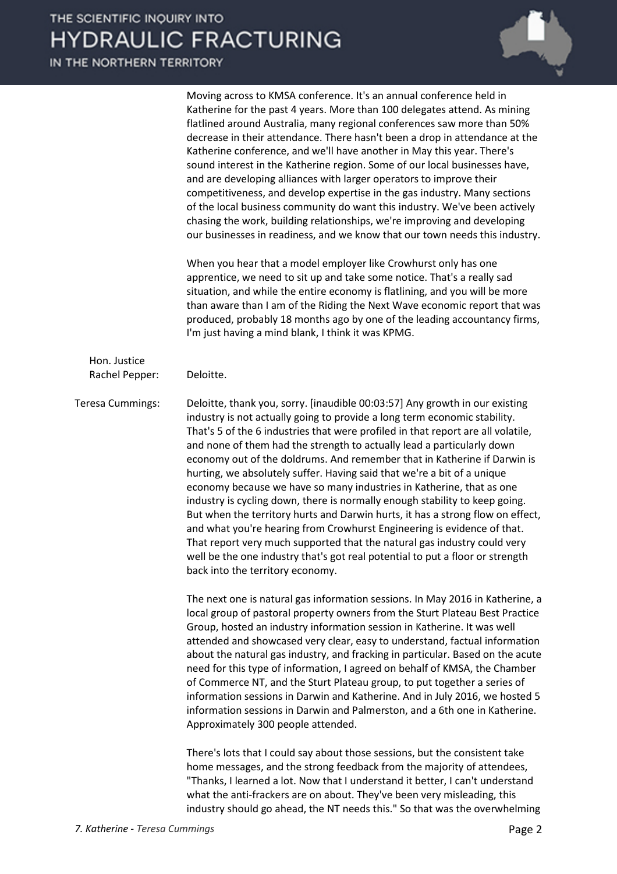IN THE NORTHERN TERRITORY

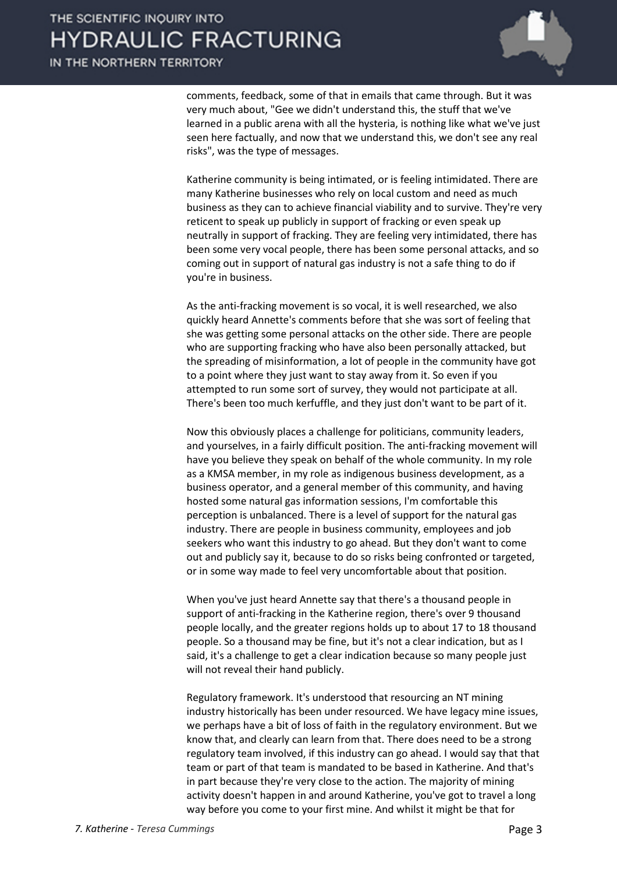

comments, feedback, some of that in emails that came through. But it was very much about, "Gee we didn't understand this, the stuff that we've learned in a public arena with all the hysteria, is nothing like what we've just seen here factually, and now that we understand this, we don't see any real risks", was the type of messages.

Katherine community is being intimated, or is feeling intimidated. There are many Katherine businesses who rely on local custom and need as much business as they can to achieve financial viability and to survive. They're very reticent to speak up publicly in support of fracking or even speak up neutrally in support of fracking. They are feeling very intimidated, there has been some very vocal people, there has been some personal attacks, and so coming out in support of natural gas industry is not a safe thing to do if you're in business.

As the anti-fracking movement is so vocal, it is well researched, we also quickly heard Annette's comments before that she was sort of feeling that she was getting some personal attacks on the other side. There are people who are supporting fracking who have also been personally attacked, but the spreading of misinformation, a lot of people in the community have got to a point where they just want to stay away from it. So even if you attempted to run some sort of survey, they would not participate at all. There's been too much kerfuffle, and they just don't want to be part of it.

Now this obviously places a challenge for politicians, community leaders, and yourselves, in a fairly difficult position. The anti-fracking movement will have you believe they speak on behalf of the whole community. In my role as a KMSA member, in my role as indigenous business development, as a business operator, and a general member of this community, and having hosted some natural gas information sessions, I'm comfortable this perception is unbalanced. There is a level of support for the natural gas industry. There are people in business community, employees and job seekers who want this industry to go ahead. But they don't want to come out and publicly say it, because to do so risks being confronted or targeted, or in some way made to feel very uncomfortable about that position.

When you've just heard Annette say that there's a thousand people in support of anti-fracking in the Katherine region, there's over 9 thousand people locally, and the greater regions holds up to about 17 to 18 thousand people. So a thousand may be fine, but it's not a clear indication, but as I said, it's a challenge to get a clear indication because so many people just will not reveal their hand publicly.

Regulatory framework. It's understood that resourcing an NT mining industry historically has been under resourced. We have legacy mine issues, we perhaps have a bit of loss of faith in the regulatory environment. But we know that, and clearly can learn from that. There does need to be a strong regulatory team involved, if this industry can go ahead. I would say that that team or part of that team is mandated to be based in Katherine. And that's in part because they're very close to the action. The majority of mining activity doesn't happen in and around Katherine, you've got to travel a long way before you come to your first mine. And whilst it might be that for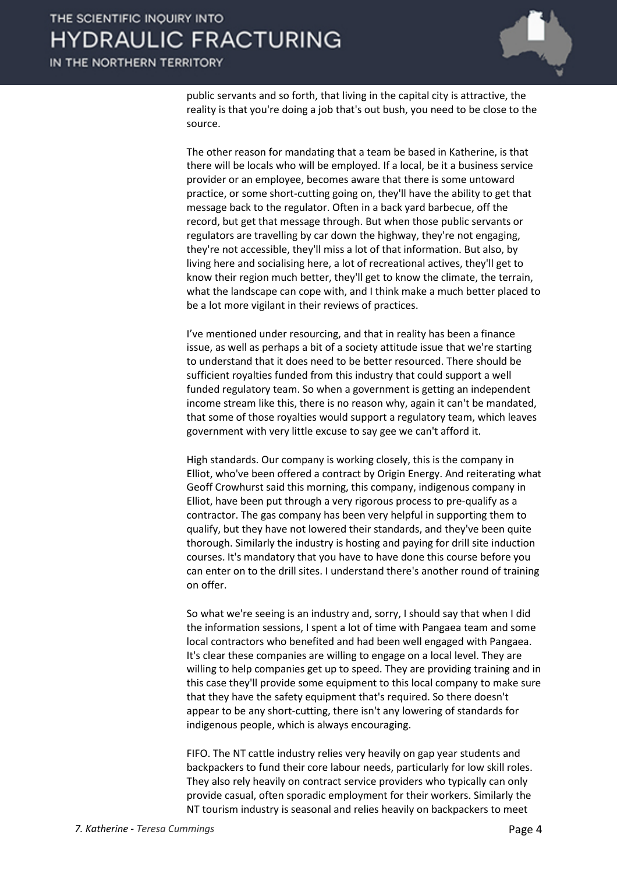

public servants and so forth, that living in the capital city is attractive, the reality is that you're doing a job that's out bush, you need to be close to the source.

The other reason for mandating that a team be based in Katherine, is that there will be locals who will be employed. If a local, be it a business service provider or an employee, becomes aware that there is some untoward practice, or some short-cutting going on, they'll have the ability to get that message back to the regulator. Often in a back yard barbecue, off the record, but get that message through. But when those public servants or regulators are travelling by car down the highway, they're not engaging, they're not accessible, they'll miss a lot of that information. But also, by living here and socialising here, a lot of recreational actives, they'll get to know their region much better, they'll get to know the climate, the terrain, what the landscape can cope with, and I think make a much better placed to be a lot more vigilant in their reviews of practices.

I've mentioned under resourcing, and that in reality has been a finance issue, as well as perhaps a bit of a society attitude issue that we're starting to understand that it does need to be better resourced. There should be sufficient royalties funded from this industry that could support a well funded regulatory team. So when a government is getting an independent income stream like this, there is no reason why, again it can't be mandated, that some of those royalties would support a regulatory team, which leaves government with very little excuse to say gee we can't afford it.

High standards. Our company is working closely, this is the company in Elliot, who've been offered a contract by Origin Energy. And reiterating what Geoff Crowhurst said this morning, this company, indigenous company in Elliot, have been put through a very rigorous process to pre-qualify as a contractor. The gas company has been very helpful in supporting them to qualify, but they have not lowered their standards, and they've been quite thorough. Similarly the industry is hosting and paying for drill site induction courses. It's mandatory that you have to have done this course before you can enter on to the drill sites. I understand there's another round of training on offer.

So what we're seeing is an industry and, sorry, I should say that when I did the information sessions, I spent a lot of time with Pangaea team and some local contractors who benefited and had been well engaged with Pangaea. It's clear these companies are willing to engage on a local level. They are willing to help companies get up to speed. They are providing training and in this case they'll provide some equipment to this local company to make sure that they have the safety equipment that's required. So there doesn't appear to be any short-cutting, there isn't any lowering of standards for indigenous people, which is always encouraging.

FIFO. The NT cattle industry relies very heavily on gap year students and backpackers to fund their core labour needs, particularly for low skill roles. They also rely heavily on contract service providers who typically can only provide casual, often sporadic employment for their workers. Similarly the NT tourism industry is seasonal and relies heavily on backpackers to meet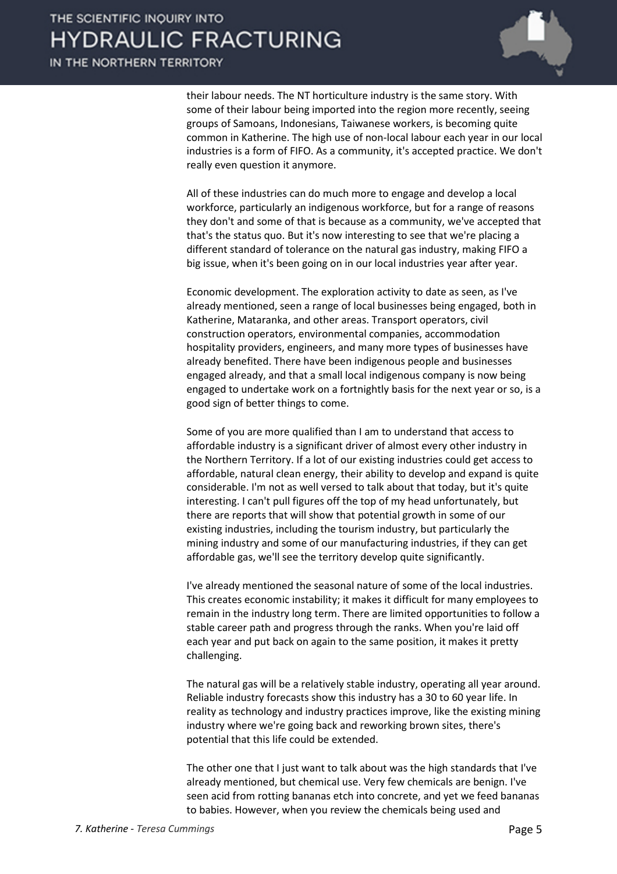IN THE NORTHERN TERRITORY



their labour needs. The NT horticulture industry is the same story. With some of their labour being imported into the region more recently, seeing groups of Samoans, Indonesians, Taiwanese workers, is becoming quite common in Katherine. The high use of non-local labour each year in our local industries is a form of FIFO. As a community, it's accepted practice. We don't really even question it anymore.

All of these industries can do much more to engage and develop a local workforce, particularly an indigenous workforce, but for a range of reasons they don't and some of that is because as a community, we've accepted that that's the status quo. But it's now interesting to see that we're placing a different standard of tolerance on the natural gas industry, making FIFO a big issue, when it's been going on in our local industries year after year.

Economic development. The exploration activity to date as seen, as I've already mentioned, seen a range of local businesses being engaged, both in Katherine, Mataranka, and other areas. Transport operators, civil construction operators, environmental companies, accommodation hospitality providers, engineers, and many more types of businesses have already benefited. There have been indigenous people and businesses engaged already, and that a small local indigenous company is now being engaged to undertake work on a fortnightly basis for the next year or so, is a good sign of better things to come.

Some of you are more qualified than I am to understand that access to affordable industry is a significant driver of almost every other industry in the Northern Territory. If a lot of our existing industries could get access to affordable, natural clean energy, their ability to develop and expand is quite considerable. I'm not as well versed to talk about that today, but it's quite interesting. I can't pull figures off the top of my head unfortunately, but there are reports that will show that potential growth in some of our existing industries, including the tourism industry, but particularly the mining industry and some of our manufacturing industries, if they can get affordable gas, we'll see the territory develop quite significantly.

I've already mentioned the seasonal nature of some of the local industries. This creates economic instability; it makes it difficult for many employees to remain in the industry long term. There are limited opportunities to follow a stable career path and progress through the ranks. When you're laid off each year and put back on again to the same position, it makes it pretty challenging.

The natural gas will be a relatively stable industry, operating all year around. Reliable industry forecasts show this industry has a 30 to 60 year life. In reality as technology and industry practices improve, like the existing mining industry where we're going back and reworking brown sites, there's potential that this life could be extended.

The other one that I just want to talk about was the high standards that I've already mentioned, but chemical use. Very few chemicals are benign. I've seen acid from rotting bananas etch into concrete, and yet we feed bananas to babies. However, when you review the chemicals being used and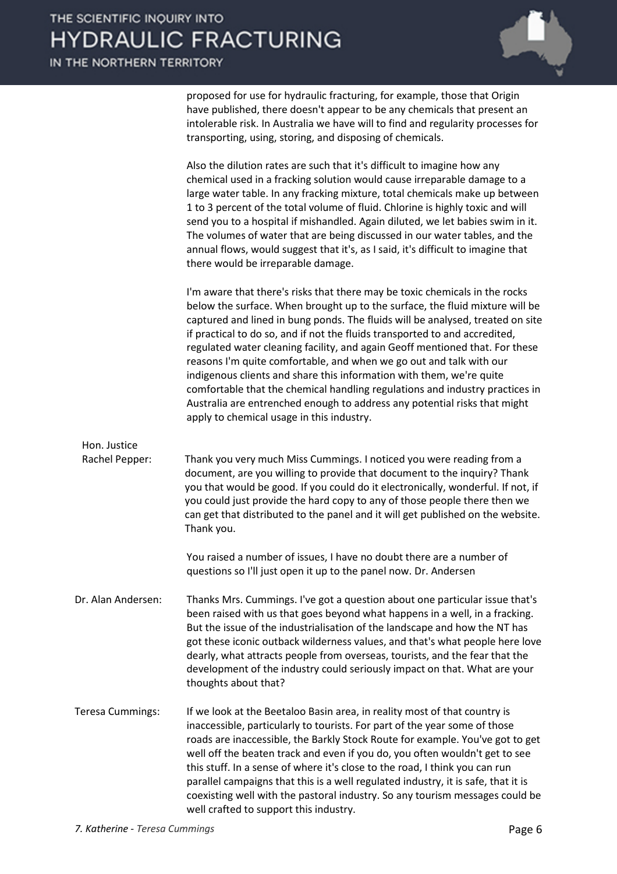

proposed for use for hydraulic fracturing, for example, those that Origin have published, there doesn't appear to be any chemicals that present an intolerable risk. In Australia we have will to find and regularity processes for transporting, using, storing, and disposing of chemicals.

Also the dilution rates are such that it's difficult to imagine how any chemical used in a fracking solution would cause irreparable damage to a large water table. In any fracking mixture, total chemicals make up between 1 to 3 percent of the total volume of fluid. Chlorine is highly toxic and will send you to a hospital if mishandled. Again diluted, we let babies swim in it. The volumes of water that are being discussed in our water tables, and the annual flows, would suggest that it's, as I said, it's difficult to imagine that there would be irreparable damage.

I'm aware that there's risks that there may be toxic chemicals in the rocks below the surface. When brought up to the surface, the fluid mixture will be captured and lined in bung ponds. The fluids will be analysed, treated on site if practical to do so, and if not the fluids transported to and accredited, regulated water cleaning facility, and again Geoff mentioned that. For these reasons I'm quite comfortable, and when we go out and talk with our indigenous clients and share this information with them, we're quite comfortable that the chemical handling regulations and industry practices in Australia are entrenched enough to address any potential risks that might apply to chemical usage in this industry.

Hon. Justice Rachel Pepper: Thank you very much Miss Cummings. I noticed you were reading from a document, are you willing to provide that document to the inquiry? Thank you that would be good. If you could do it electronically, wonderful. If not, if you could just provide the hard copy to any of those people there then we can get that distributed to the panel and it will get published on the website. Thank you.

> You raised a number of issues, I have no doubt there are a number of questions so I'll just open it up to the panel now. Dr. Andersen

- Dr. Alan Andersen: Thanks Mrs. Cummings. I've got a question about one particular issue that's been raised with us that goes beyond what happens in a well, in a fracking. But the issue of the industrialisation of the landscape and how the NT has got these iconic outback wilderness values, and that's what people here love dearly, what attracts people from overseas, tourists, and the fear that the development of the industry could seriously impact on that. What are your thoughts about that?
- Teresa Cummings: If we look at the Beetaloo Basin area, in reality most of that country is inaccessible, particularly to tourists. For part of the year some of those roads are inaccessible, the Barkly Stock Route for example. You've got to get well off the beaten track and even if you do, you often wouldn't get to see this stuff. In a sense of where it's close to the road, I think you can run parallel campaigns that this is a well regulated industry, it is safe, that it is coexisting well with the pastoral industry. So any tourism messages could be well crafted to support this industry.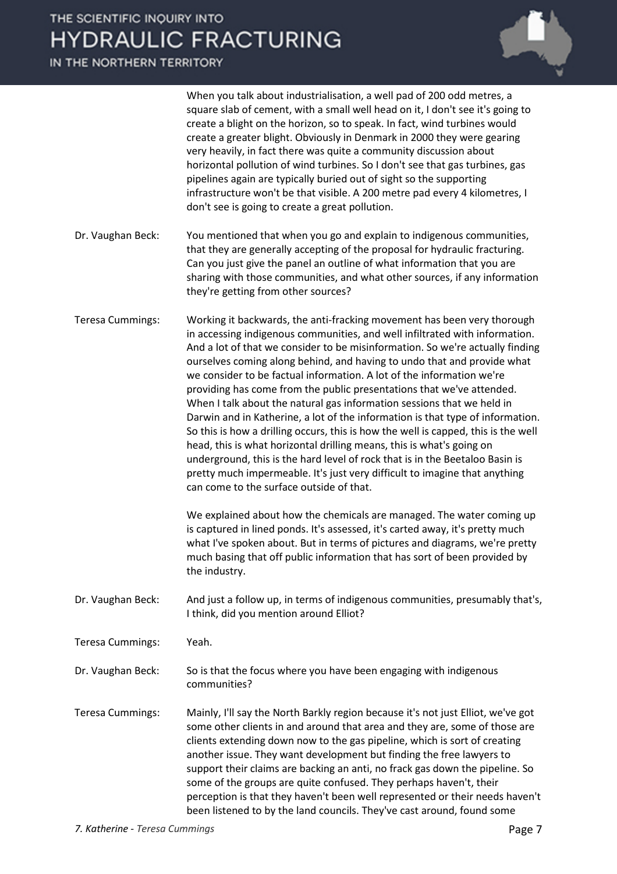IN THE NORTHERN TERRITORY

|                         | When you talk about industrialisation, a well pad of 200 odd metres, a<br>square slab of cement, with a small well head on it, I don't see it's going to<br>create a blight on the horizon, so to speak. In fact, wind turbines would<br>create a greater blight. Obviously in Denmark in 2000 they were gearing<br>very heavily, in fact there was quite a community discussion about<br>horizontal pollution of wind turbines. So I don't see that gas turbines, gas<br>pipelines again are typically buried out of sight so the supporting<br>infrastructure won't be that visible. A 200 metre pad every 4 kilometres, I<br>don't see is going to create a great pollution.                                                                                                                                                                                                                                                                                                                           |
|-------------------------|-----------------------------------------------------------------------------------------------------------------------------------------------------------------------------------------------------------------------------------------------------------------------------------------------------------------------------------------------------------------------------------------------------------------------------------------------------------------------------------------------------------------------------------------------------------------------------------------------------------------------------------------------------------------------------------------------------------------------------------------------------------------------------------------------------------------------------------------------------------------------------------------------------------------------------------------------------------------------------------------------------------|
| Dr. Vaughan Beck:       | You mentioned that when you go and explain to indigenous communities,<br>that they are generally accepting of the proposal for hydraulic fracturing.<br>Can you just give the panel an outline of what information that you are<br>sharing with those communities, and what other sources, if any information<br>they're getting from other sources?                                                                                                                                                                                                                                                                                                                                                                                                                                                                                                                                                                                                                                                      |
| <b>Teresa Cummings:</b> | Working it backwards, the anti-fracking movement has been very thorough<br>in accessing indigenous communities, and well infiltrated with information.<br>And a lot of that we consider to be misinformation. So we're actually finding<br>ourselves coming along behind, and having to undo that and provide what<br>we consider to be factual information. A lot of the information we're<br>providing has come from the public presentations that we've attended.<br>When I talk about the natural gas information sessions that we held in<br>Darwin and in Katherine, a lot of the information is that type of information.<br>So this is how a drilling occurs, this is how the well is capped, this is the well<br>head, this is what horizontal drilling means, this is what's going on<br>underground, this is the hard level of rock that is in the Beetaloo Basin is<br>pretty much impermeable. It's just very difficult to imagine that anything<br>can come to the surface outside of that. |
|                         | We explained about how the chemicals are managed. The water coming up<br>is captured in lined ponds. It's assessed, it's carted away, it's pretty much<br>what I've spoken about. But in terms of pictures and diagrams, we're pretty<br>much basing that off public information that has sort of been provided by<br>the industry.                                                                                                                                                                                                                                                                                                                                                                                                                                                                                                                                                                                                                                                                       |
| Dr. Vaughan Beck:       | And just a follow up, in terms of indigenous communities, presumably that's,<br>I think, did you mention around Elliot?                                                                                                                                                                                                                                                                                                                                                                                                                                                                                                                                                                                                                                                                                                                                                                                                                                                                                   |
| <b>Teresa Cummings:</b> | Yeah.                                                                                                                                                                                                                                                                                                                                                                                                                                                                                                                                                                                                                                                                                                                                                                                                                                                                                                                                                                                                     |
| Dr. Vaughan Beck:       | So is that the focus where you have been engaging with indigenous<br>communities?                                                                                                                                                                                                                                                                                                                                                                                                                                                                                                                                                                                                                                                                                                                                                                                                                                                                                                                         |
| <b>Teresa Cummings:</b> | Mainly, I'll say the North Barkly region because it's not just Elliot, we've got<br>some other clients in and around that area and they are, some of those are<br>clients extending down now to the gas pipeline, which is sort of creating<br>another issue. They want development but finding the free lawyers to<br>support their claims are backing an anti, no frack gas down the pipeline. So<br>some of the groups are quite confused. They perhaps haven't, their<br>perception is that they haven't been well represented or their needs haven't<br>been listened to by the land councils. They've cast around, found some                                                                                                                                                                                                                                                                                                                                                                       |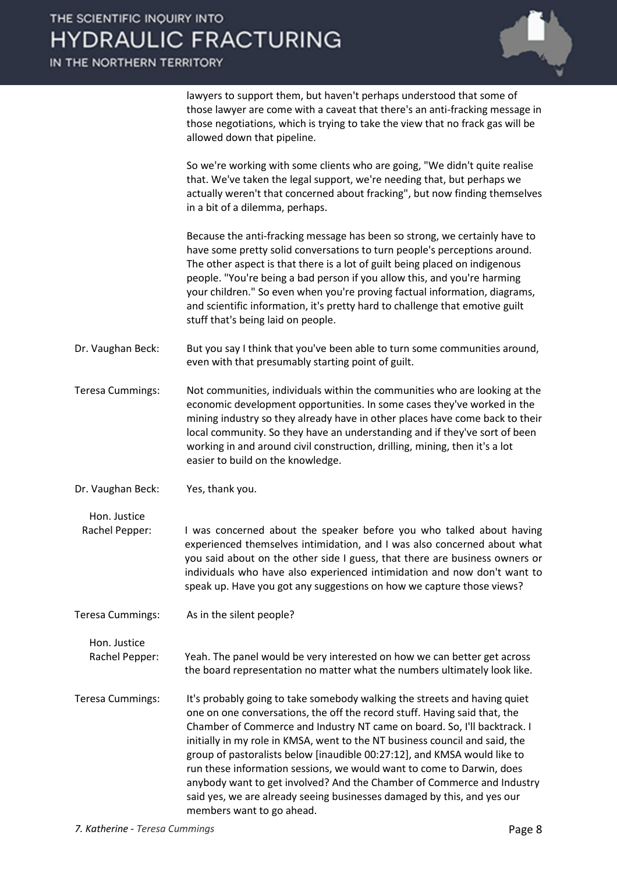

lawyers to support them, but haven't perhaps understood that some of those lawyer are come with a caveat that there's an anti-fracking message in those negotiations, which is trying to take the view that no frack gas will be allowed down that pipeline.

So we're working with some clients who are going, "We didn't quite realise that. We've taken the legal support, we're needing that, but perhaps we actually weren't that concerned about fracking", but now finding themselves in a bit of a dilemma, perhaps.

Because the anti-fracking message has been so strong, we certainly have to have some pretty solid conversations to turn people's perceptions around. The other aspect is that there is a lot of guilt being placed on indigenous people. "You're being a bad person if you allow this, and you're harming your children." So even when you're proving factual information, diagrams, and scientific information, it's pretty hard to challenge that emotive guilt stuff that's being laid on people.

- Dr. Vaughan Beck: But you say I think that you've been able to turn some communities around, even with that presumably starting point of guilt.
- Teresa Cummings: Not communities, individuals within the communities who are looking at the economic development opportunities. In some cases they've worked in the mining industry so they already have in other places have come back to their local community. So they have an understanding and if they've sort of been working in and around civil construction, drilling, mining, then it's a lot easier to build on the knowledge.
- Dr. Vaughan Beck: Yes, thank you.
	- Hon. Justice

Rachel Pepper: I was concerned about the speaker before you who talked about having experienced themselves intimidation, and I was also concerned about what you said about on the other side I guess, that there are business owners or individuals who have also experienced intimidation and now don't want to speak up. Have you got any suggestions on how we capture those views?

Teresa Cummings: As in the silent people?

Hon. Justice Rachel Pepper: Yeah. The panel would be very interested on how we can better get across the board representation no matter what the numbers ultimately look like.

Teresa Cummings: It's probably going to take somebody walking the streets and having quiet one on one conversations, the off the record stuff. Having said that, the Chamber of Commerce and Industry NT came on board. So, I'll backtrack. I initially in my role in KMSA, went to the NT business council and said, the group of pastoralists below [inaudible 00:27:12], and KMSA would like to run these information sessions, we would want to come to Darwin, does anybody want to get involved? And the Chamber of Commerce and Industry said yes, we are already seeing businesses damaged by this, and yes our members want to go ahead.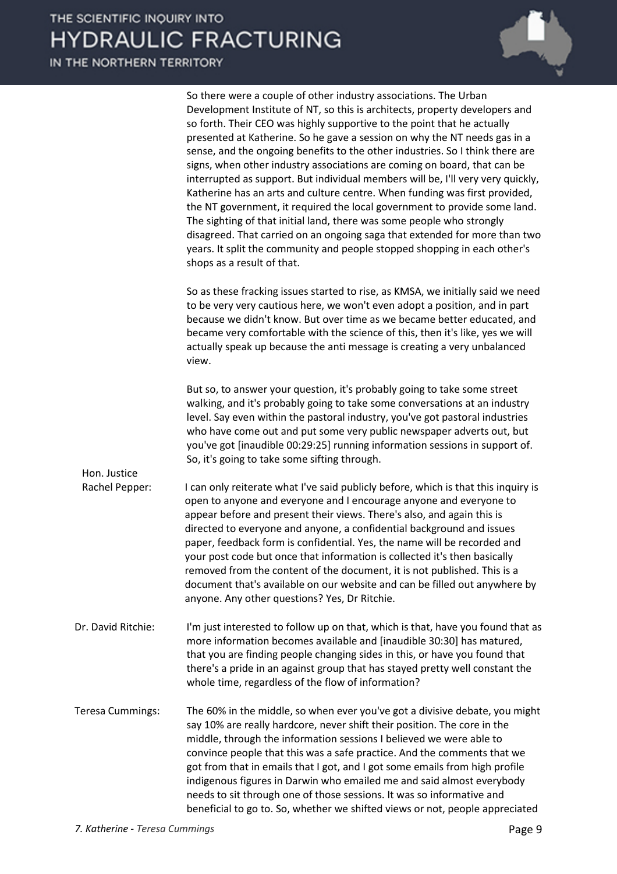